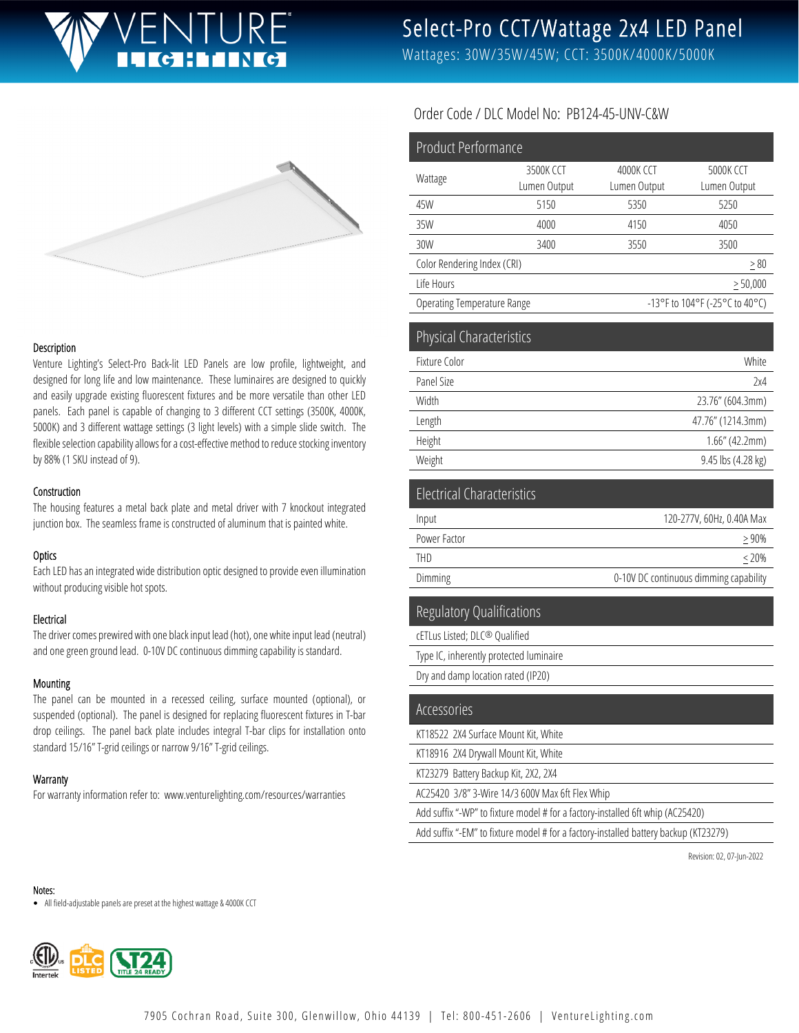# **ICHTING**

# Select-Pro CCT/Wattage 2x4 LED Panel

Wattages: 30W/35W/45W; CCT: 3500K/4000K/5000K



#### Description

Venture Lighting's Select-Pro Back-lit LED Panels are low profile, lightweight, and designed for long life and low maintenance. These luminaires are designed to quickly and easily upgrade existing fluorescent fixtures and be more versatile than other LED panels. Each panel is capable of changing to 3 different CCT settings (3500K, 4000K, 5000K) and 3 different wattage settings (3 light levels) with a simple slide switch. The flexible selection capability allows for a cost-effective method to reduce stocking inventory by 88% (1 SKU instead of 9).

#### Construction

The housing features a metal back plate and metal driver with 7 knockout integrated junction box. The seamless frame is constructed of aluminum that is painted white.

#### **Optics**

Each LED has an integrated wide distribution optic designed to provide even illumination without producing visible hot spots.

#### Electrical

The driver comes prewired with one black input lead (hot), one white input lead (neutral) and one green ground lead. 0-10V DC continuous dimming capability is standard.

#### Mounting

The panel can be mounted in a recessed ceiling, surface mounted (optional), or suspended (optional). The panel is designed for replacing fluorescent fixtures in T-bar drop ceilings. The panel back plate includes integral T-bar clips for installation onto standard 15/16" T-grid ceilings or narrow 9/16" T-grid ceilings.

#### **Warranty**

For warranty information refer to: www.venturelighting.com/resources/warranties

#### Order Code / DLC Model No: PB124-45-UNV-C&W

| <b>Product Performance</b>         |              |                                |                  |
|------------------------------------|--------------|--------------------------------|------------------|
| Wattage                            | 3500K CCT    | 4000K CCT                      | <b>5000K CCT</b> |
|                                    | Lumen Output | Lumen Output                   | Lumen Output     |
| 45W                                | 5150         | 5350                           | 5250             |
| 35W                                | 4000         | 4150                           | 4050             |
| 30W                                | 3400         | 3550                           | 3500             |
| Color Rendering Index (CRI)        |              |                                | > 80             |
| Life Hours                         |              |                                | $\geq 50,000$    |
| <b>Operating Temperature Range</b> |              | -13°F to 104°F (-25°C to 40°C) |                  |
| Physical Characteristics           |              |                                |                  |
| Fixture Color                      |              | White                          |                  |
| Panel Size                         |              | 2x4                            |                  |
| Width                              |              | 23.76" (604.3mm)               |                  |
| Length                             |              | 47.76" (1214.3mm)              |                  |
| Height                             |              | 1.66" (42.2mm)                 |                  |
| Weight                             |              | 9.45 lbs (4.28 kg)             |                  |
| <b>Electrical Characteristics</b>  |              |                                |                  |
| Input                              |              | 120-277V, 60Hz, 0.40A Max      |                  |
| Power Factor                       |              | > 90%                          |                  |
| <b>THD</b>                         |              | < 20%                          |                  |

Dimming **Dimming Dimming capability 0-10V DC** continuous dimming capability

#### Regulatory Qualifications

cETLus Listed; DLC® Qualified Type IC, inherently protected luminaire Dry and damp location rated (IP20)

| Accessories                                                                    |
|--------------------------------------------------------------------------------|
| KT18522 2X4 Surface Mount Kit, White                                           |
| KT18916 2X4 Drywall Mount Kit, White                                           |
| KT23279 Battery Backup Kit, 2X2, 2X4                                           |
| AC25420 3/8" 3-Wire 14/3 600V Max 6ft Flex Whip                                |
| Add suffix "-WP" to fixture model # for a factory-installed 6ft whip (AC25420) |
|                                                                                |

Add suffix "-EM" to fixture model # for a factory-installed battery backup (KT23279)

Revision: 02, 07-Jun-2022

#### Notes:

All field-adjustable panels are preset at the highest wattage & 4000K CCT